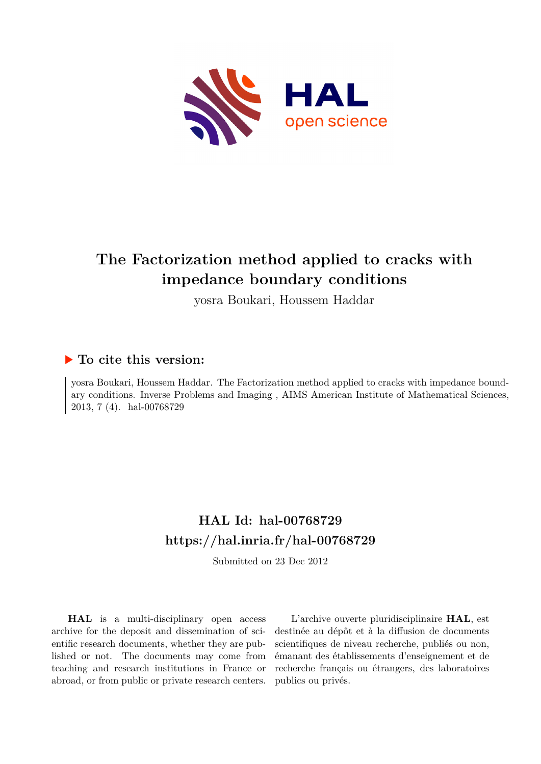

# **The Factorization method applied to cracks with impedance boundary conditions**

yosra Boukari, Houssem Haddar

# **To cite this version:**

yosra Boukari, Houssem Haddar. The Factorization method applied to cracks with impedance boundary conditions. Inverse Problems and Imaging , AIMS American Institute of Mathematical Sciences, 2013, 7 (4). hal-00768729

# **HAL Id: hal-00768729 <https://hal.inria.fr/hal-00768729>**

Submitted on 23 Dec 2012

**HAL** is a multi-disciplinary open access archive for the deposit and dissemination of scientific research documents, whether they are published or not. The documents may come from teaching and research institutions in France or abroad, or from public or private research centers.

L'archive ouverte pluridisciplinaire **HAL**, est destinée au dépôt et à la diffusion de documents scientifiques de niveau recherche, publiés ou non, émanant des établissements d'enseignement et de recherche français ou étrangers, des laboratoires publics ou privés.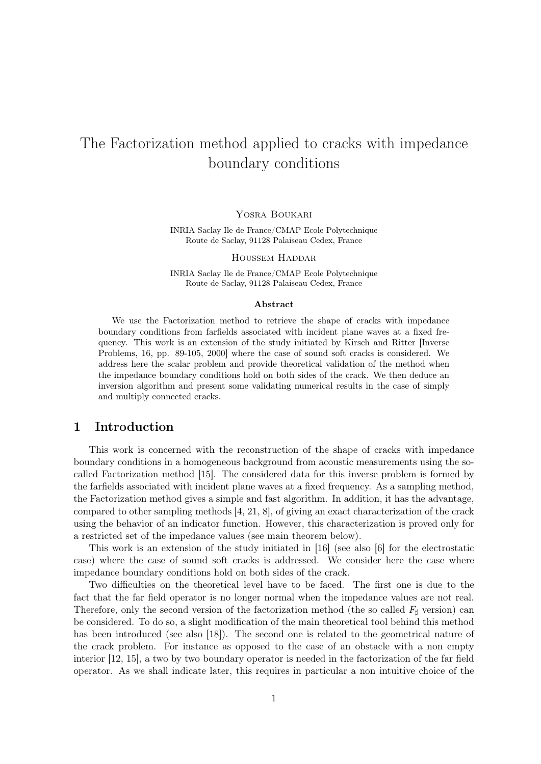# The Factorization method applied to cracks with impedance boundary conditions

#### Yosra Boukari

INRIA Saclay Ile de France/CMAP Ecole Polytechnique Route de Saclay, 91128 Palaiseau Cedex, France

Houssem Haddar

INRIA Saclay Ile de France/CMAP Ecole Polytechnique Route de Saclay, 91128 Palaiseau Cedex, France

#### Abstract

We use the Factorization method to retrieve the shape of cracks with impedance boundary conditions from farfields associated with incident plane waves at a fixed frequency. This work is an extension of the study initiated by Kirsch and Ritter [Inverse Problems, 16, pp. 89-105, 2000] where the case of sound soft cracks is considered. We address here the scalar problem and provide theoretical validation of the method when the impedance boundary conditions hold on both sides of the crack. We then deduce an inversion algorithm and present some validating numerical results in the case of simply and multiply connected cracks.

### 1 Introduction

This work is concerned with the reconstruction of the shape of cracks with impedance boundary conditions in a homogeneous background from acoustic measurements using the socalled Factorization method [15]. The considered data for this inverse problem is formed by the farfields associated with incident plane waves at a fixed frequency. As a sampling method, the Factorization method gives a simple and fast algorithm. In addition, it has the advantage, compared to other sampling methods [4, 21, 8], of giving an exact characterization of the crack using the behavior of an indicator function. However, this characterization is proved only for a restricted set of the impedance values (see main theorem below).

This work is an extension of the study initiated in [16] (see also [6] for the electrostatic case) where the case of sound soft cracks is addressed. We consider here the case where impedance boundary conditions hold on both sides of the crack.

Two difficulties on the theoretical level have to be faced. The first one is due to the fact that the far field operator is no longer normal when the impedance values are not real. Therefore, only the second version of the factorization method (the so called  $F_{\sharp}$  version) can be considered. To do so, a slight modification of the main theoretical tool behind this method has been introduced (see also [18]). The second one is related to the geometrical nature of the crack problem. For instance as opposed to the case of an obstacle with a non empty interior [12, 15], a two by two boundary operator is needed in the factorization of the far field operator. As we shall indicate later, this requires in particular a non intuitive choice of the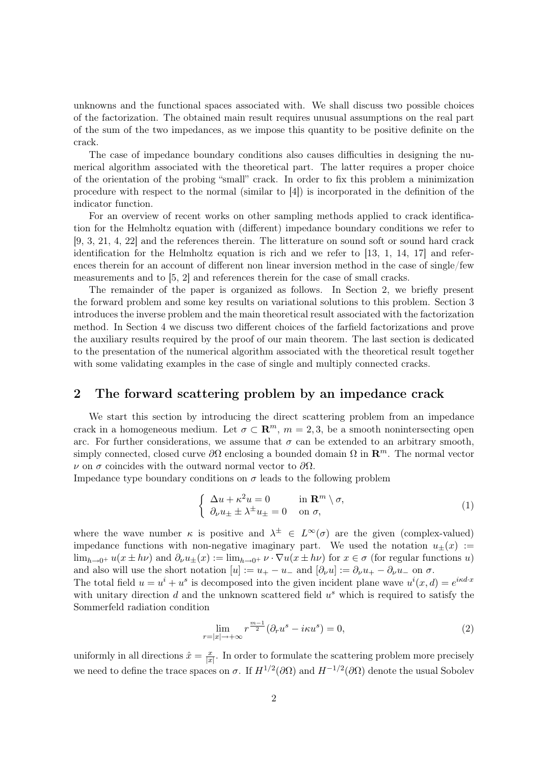unknowns and the functional spaces associated with. We shall discuss two possible choices of the factorization. The obtained main result requires unusual assumptions on the real part of the sum of the two impedances, as we impose this quantity to be positive definite on the crack.

The case of impedance boundary conditions also causes difficulties in designing the numerical algorithm associated with the theoretical part. The latter requires a proper choice of the orientation of the probing "small" crack. In order to fix this problem a minimization procedure with respect to the normal (similar to [4]) is incorporated in the definition of the indicator function.

For an overview of recent works on other sampling methods applied to crack identification for the Helmholtz equation with (different) impedance boundary conditions we refer to [9, 3, 21, 4, 22] and the references therein. The litterature on sound soft or sound hard crack identification for the Helmholtz equation is rich and we refer to [13, 1, 14, 17] and references therein for an account of different non linear inversion method in the case of single/few measurements and to [5, 2] and references therein for the case of small cracks.

The remainder of the paper is organized as follows. In Section 2, we briefly present the forward problem and some key results on variational solutions to this problem. Section 3 introduces the inverse problem and the main theoretical result associated with the factorization method. In Section 4 we discuss two different choices of the farfield factorizations and prove the auxiliary results required by the proof of our main theorem. The last section is dedicated to the presentation of the numerical algorithm associated with the theoretical result together with some validating examples in the case of single and multiply connected cracks.

## 2 The forward scattering problem by an impedance crack

We start this section by introducing the direct scattering problem from an impedance crack in a homogeneous medium. Let  $\sigma \subset \mathbb{R}^m$ ,  $m = 2, 3$ , be a smooth nonintersecting open arc. For further considerations, we assume that  $\sigma$  can be extended to an arbitrary smooth, simply connected, closed curve  $\partial\Omega$  enclosing a bounded domain  $\Omega$  in  $\mathbb{R}^m$ . The normal vector  $\nu$  on  $\sigma$  coincides with the outward normal vector to  $\partial\Omega$ .

Impedance type boundary conditions on  $\sigma$  leads to the following problem

$$
\begin{cases} \Delta u + \kappa^2 u = 0 & \text{in } \mathbf{R}^m \setminus \sigma, \\ \partial_\nu u_\pm \pm \lambda^\pm u_\pm = 0 & \text{on } \sigma, \end{cases} \tag{1}
$$

where the wave number  $\kappa$  is positive and  $\lambda^{\pm} \in L^{\infty}(\sigma)$  are the given (complex-valued) impedance functions with non-negative imaginary part. We used the notation  $u_{\pm}(x) :=$  $\lim_{h\to 0^+} u(x \pm h\nu)$  and  $\partial_{\nu}u_{\pm}(x) := \lim_{h\to 0^+} \nu \cdot \nabla u(x \pm h\nu)$  for  $x \in \sigma$  (for regular functions u) and also will use the short notation  $[u] := u_+ - u_-$  and  $[\partial_\nu u] := \partial_\nu u_+ - \partial_\nu u_-$  on  $\sigma$ .

The total field  $u = u^i + u^s$  is decomposed into the given incident plane wave  $u^i(x, d) = e^{i\kappa d \cdot x}$ with unitary direction  $d$  and the unknown scattered field  $u^s$  which is required to satisfy the Sommerfeld radiation condition

$$
\lim_{r=|x|\to+\infty}r^{\frac{m-1}{2}}(\partial_ru^s-i\kappa u^s)=0,
$$
\n(2)

uniformly in all directions  $\hat{x} = \frac{x}{|x|}$  $\frac{x}{|x|}$ . In order to formulate the scattering problem more precisely we need to define the trace spaces on  $\sigma$ . If  $H^{1/2}(\partial\Omega)$  and  $H^{-1/2}(\partial\Omega)$  denote the usual Sobolev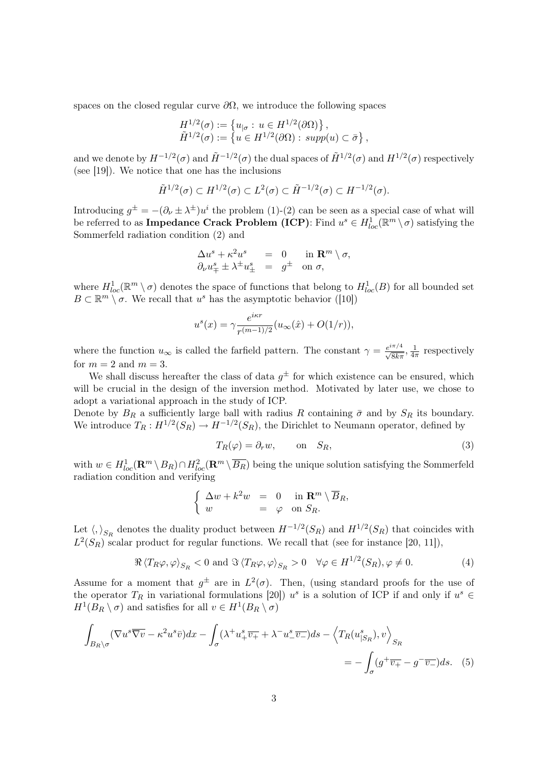spaces on the closed regular curve  $\partial\Omega$ , we introduce the following spaces

$$
H^{1/2}(\sigma) := \left\{ u_{|\sigma} : u \in H^{1/2}(\partial \Omega) \right\},\
$$
  

$$
\tilde{H}^{1/2}(\sigma) := \left\{ u \in H^{1/2}(\partial \Omega) : supp(u) \subset \bar{\sigma} \right\},\
$$

and we denote by  $H^{-1/2}(\sigma)$  and  $\tilde{H}^{-1/2}(\sigma)$  the dual spaces of  $\tilde{H}^{1/2}(\sigma)$  and  $H^{1/2}(\sigma)$  respectively (see [19]). We notice that one has the inclusions

$$
\tilde{H}^{1/2}(\sigma) \subset H^{1/2}(\sigma) \subset L^2(\sigma) \subset \tilde{H}^{-1/2}(\sigma) \subset H^{-1/2}(\sigma).
$$

Introducing  $g^{\pm} = -(\partial_{\nu} \pm \lambda^{\pm})u^{i}$  the problem (1)-(2) can be seen as a special case of what will be referred to as **Impedance Crack Problem (ICP)**: Find  $u^s \in H_{loc}^1(\mathbb{R}^m \setminus \sigma)$  satisfying the Sommerfeld radiation condition (2) and

$$
\Delta u^s + \kappa^2 u^s = 0 \quad \text{in } \mathbf{R}^m \setminus \sigma,
$$
  

$$
\partial_\nu u^s_{\mp} \pm \lambda^{\pm} u^s_{\pm} = g^{\pm} \quad \text{on } \sigma,
$$

where  $H_{loc}^1(\mathbb{R}^m \setminus \sigma)$  denotes the space of functions that belong to  $H_{loc}^1(B)$  for all bounded set  $B \subset \mathbb{R}^m \setminus \sigma$ . We recall that  $u^s$  has the asymptotic behavior ([10])

$$
u^{s}(x) = \gamma \frac{e^{i\kappa r}}{r^{(m-1)/2}} (u_{\infty}(\hat{x}) + O(1/r)),
$$

where the function  $u_{\infty}$  is called the farfield pattern. The constant  $\gamma = \frac{e^{i\pi/4}}{\sqrt{8k\pi}}, \frac{1}{4\pi}$  $\frac{1}{4\pi}$  respectively for  $m = 2$  and  $m = 3$ .

We shall discuss hereafter the class of data  $g^{\pm}$  for which existence can be ensured, which will be crucial in the design of the inversion method. Motivated by later use, we chose to adopt a variational approach in the study of ICP.

Denote by  $B_R$  a sufficiently large ball with radius R containing  $\bar{\sigma}$  and by  $S_R$  its boundary. We introduce  $T_R: H^{1/2}(S_R) \to H^{-1/2}(S_R)$ , the Dirichlet to Neumann operator, defined by

$$
T_R(\varphi) = \partial_r w, \qquad \text{on} \quad S_R,\tag{3}
$$

with  $w \in H^1_{loc}(\mathbf{R}^m \setminus B_R) \cap H^2_{loc}(\mathbf{R}^m \setminus \overline{B_R})$  being the unique solution satisfying the Sommerfeld radiation condition and verifying

$$
\begin{cases} \Delta w + k^2 w = 0 & \text{in } \mathbf{R}^m \setminus \overline{B}_R, \\ w = \varphi & \text{on } S_R. \end{cases}
$$

Let  $\langle,\rangle_{S_R}$  denotes the duality product between  $H^{-1/2}(S_R)$  and  $H^{1/2}(S_R)$  that coincides with  $L^2(S_R)$  scalar product for regular functions. We recall that (see for instance [20, 11]),

$$
\Re \langle T_R \varphi, \varphi \rangle_{S_R} < 0 \text{ and } \Im \langle T_R \varphi, \varphi \rangle_{S_R} > 0 \quad \forall \varphi \in H^{1/2}(S_R), \varphi \neq 0.
$$
 (4)

Assume for a moment that  $g^{\pm}$  are in  $L^2(\sigma)$ . Then, (using standard proofs for the use of the operator  $T_R$  in variational formulations [20])  $u^s$  is a solution of ICP if and only if  $u^s \in$  $H^1(B_R \setminus \sigma)$  and satisfies for all  $v \in H^1(B_R \setminus \sigma)$ 

$$
\int_{B_R\setminus\sigma} (\nabla u^s \overline{\nabla v} - \kappa^2 u^s \bar{v}) dx - \int_{\sigma} (\lambda^+ u^s_+ \overline{v_+} + \lambda^- u^s_- \overline{v_-}) ds - \left\langle T_R(u^s_{|S_R}), v \right\rangle_{S_R} = - \int_{\sigma} (g^+ \overline{v_+} - g^- \overline{v_-}) ds. \tag{5}
$$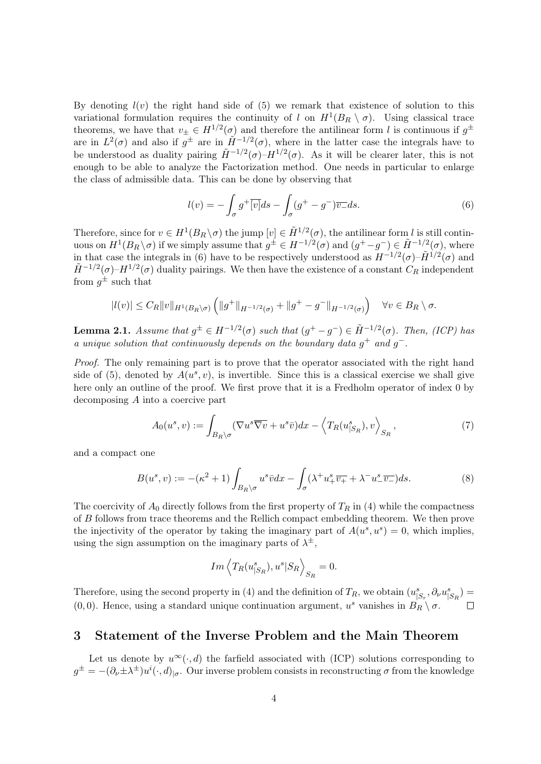By denoting  $l(v)$  the right hand side of (5) we remark that existence of solution to this variational formulation requires the continuity of l on  $H^1(B_R \setminus \sigma)$ . Using classical trace theorems, we have that  $v_{\pm} \in H^{1/2}(\sigma)$  and therefore the antilinear form l is continuous if  $g^{\pm}$ are in  $L^2(\sigma)$  and also if  $g^{\pm}$  are in  $\tilde{H}^{-1/2}(\sigma)$ , where in the latter case the integrals have to be understood as duality pairing  $\tilde{H}^{-1/2}(\sigma) - H^{1/2}(\sigma)$ . As it will be clearer later, this is not enough to be able to analyze the Factorization method. One needs in particular to enlarge the class of admissible data. This can be done by observing that

$$
l(v) = -\int_{\sigma} g^+ \overline{[v]} ds - \int_{\sigma} (g^+ - g^-) \overline{v_-} ds. \tag{6}
$$

Therefore, since for  $v \in H^1(B_R \setminus \sigma)$  the jump  $[v] \in \tilde{H}^{1/2}(\sigma)$ , the antilinear form l is still continuous on  $H^1(B_R \setminus \sigma)$  if we simply assume that  $g^{\pm} \in H^{-1/2}(\sigma)$  and  $(g^+ - g^-) \in \tilde{H}^{-1/2}(\sigma)$ , where in that case the integrals in (6) have to be respectively understood as  $H^{-1/2}(\sigma) - \tilde{H}^{1/2}(\sigma)$  and  $\tilde{H}^{-1/2}(\sigma) - H^{1/2}(\sigma)$  duality pairings. We then have the existence of a constant  $C_R$  independent from  $g^{\pm}$  such that

$$
|l(v)| \leq C_R ||v||_{H^1(B_R \setminus \sigma)} \left( ||g^+||_{H^{-1/2}(\sigma)} + ||g^+ - g^-||_{H^{-1/2}(\sigma)} \right) \quad \forall v \in B_R \setminus \sigma.
$$

**Lemma 2.1.** *Assume that*  $g^{\pm} \in H^{-1/2}(\sigma)$  *such that*  $(g^+ - g^-) \in \tilde{H}^{-1/2}(\sigma)$ *. Then, (ICP) has a unique solution that continuously depends on the boundary data*  $g$ <sup>+</sup> and  $g$ <sup>−</sup>.

*Proof.* The only remaining part is to prove that the operator associated with the right hand side of (5), denoted by  $A(u^s, v)$ , is invertible. Since this is a classical exercise we shall give here only an outline of the proof. We first prove that it is a Fredholm operator of index 0 by decomposing A into a coercive part

$$
A_0(u^s, v) := \int_{B_R \setminus \sigma} (\nabla u^s \overline{\nabla v} + u^s \overline{v}) dx - \left\langle T_R(u^s_{|S_R}), v \right\rangle_{S_R},\tag{7}
$$

and a compact one

$$
B(u^s, v) := -(\kappa^2 + 1) \int_{B_R \backslash \sigma} u^s \bar{v} dx - \int_{\sigma} (\lambda^+ u^s_+ \overline{v_+} + \lambda^- u^s_- \overline{v_-}) ds. \tag{8}
$$

The coercivity of  $A_0$  directly follows from the first property of  $T_R$  in (4) while the compactness of B follows from trace theorems and the Rellich compact embedding theorem. We then prove the injectivity of the operator by taking the imaginary part of  $A(u^s, u^s) = 0$ , which implies, using the sign assumption on the imaginary parts of  $\lambda^{\pm}$ ,

$$
Im\left\langle T_R(u^s_{|S_R}), u^s|S_R\right\rangle_{S_R} = 0.
$$

Therefore, using the second property in (4) and the definition of  $T_R$ , we obtain  $(u^s_{|S_r}, \partial_\nu u^s_{|S_R}) =$ (0,0). Hence, using a standard unique continuation argument,  $u^s$  vanishes in  $B_R \setminus \sigma$ .

### 3 Statement of the Inverse Problem and the Main Theorem

Let us denote by  $u^{\infty}(\cdot, d)$  the farfield associated with (ICP) solutions corresponding to  $g^{\pm} = -(\partial_{\nu} \pm \lambda^{\pm}) u^{i}(\cdot, d)_{|\sigma}$ . Our inverse problem consists in reconstructing  $\sigma$  from the knowledge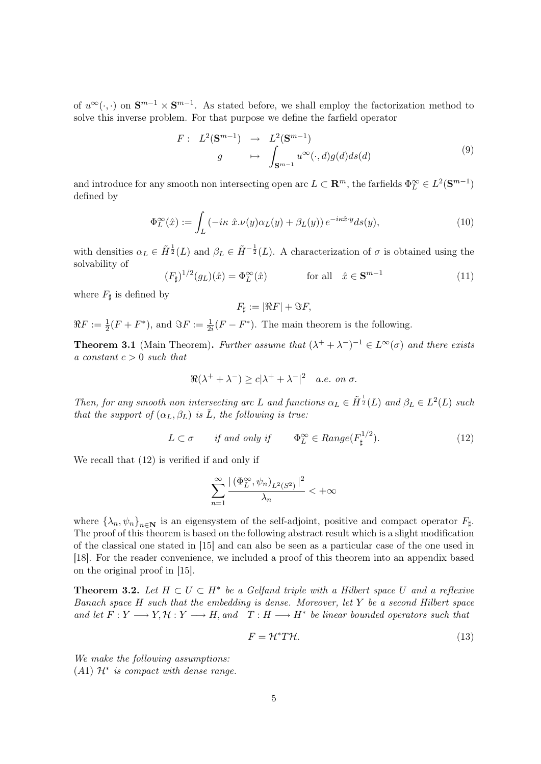of  $u^{\infty}(\cdot, \cdot)$  on  $\mathbf{S}^{m-1} \times \mathbf{S}^{m-1}$ . As stated before, we shall employ the factorization method to solve this inverse problem. For that purpose we define the farfield operator

$$
F: L^{2}(\mathbf{S}^{m-1}) \rightarrow L^{2}(\mathbf{S}^{m-1})
$$

$$
g \mapsto \int_{\mathbf{S}^{m-1}} u^{\infty}(\cdot, d)g(d)ds(d)
$$
(9)

and introduce for any smooth non intersecting open arc  $L \subset \mathbb{R}^m$ , the farfields  $\Phi_L^{\infty} \in L^2(\mathbf{S}^{m-1})$ defined by

$$
\Phi_L^{\infty}(\hat{x}) := \int_L \left( -i\kappa \ \hat{x}.\nu(y)\alpha_L(y) + \beta_L(y) \right) e^{-i\kappa \hat{x} \cdot y} ds(y),\tag{10}
$$

with densities  $\alpha_L \in \tilde{H}^{\frac{1}{2}}(L)$  and  $\beta_L \in \tilde{H}^{-\frac{1}{2}}(L)$ . A characterization of  $\sigma$  is obtained using the solvability of

$$
(F_{\sharp})^{1/2}(g_L)(\hat{x}) = \Phi_L^{\infty}(\hat{x}) \qquad \text{for all} \quad \hat{x} \in \mathbf{S}^{m-1}
$$
 (11)

where  $F_{\sharp}$  is defined by

$$
F_{\sharp} := |\Re F| + \Im F,
$$

 $\Re F := \frac{1}{2}(F + F^*)$ , and  $\Im F := \frac{1}{2i}(F - F^*)$ . The main theorem is the following.

**Theorem 3.1** (Main Theorem). *Further assume that*  $(\lambda^+ + \lambda^-)^{-1} \in L^{\infty}(\sigma)$  *and there exists a constant* c > 0 *such that*

$$
\Re(\lambda^+ + \lambda^-) \ge c|\lambda^+ + \lambda^-|^2 \quad a.e. \text{ on } \sigma.
$$

*Then, for any smooth non intersecting arc L and functions*  $\alpha_L \in \tilde{H}^{\frac{1}{2}}(L)$  *and*  $\beta_L \in L^2(L)$  *such that the support of*  $(\alpha_L, \beta_L)$  *is*  $\overline{L}$ *, the following is true:* 

$$
L \subset \sigma \qquad \text{if and only if} \qquad \Phi_L^{\infty} \in Range(F_{\sharp}^{1/2}). \tag{12}
$$

We recall that (12) is verified if and only if

$$
\sum_{n=1}^{\infty} \frac{|\left(\Phi_L^{\infty}, \psi_n\right)_{L^2(S^2)}|^2}{\lambda_n} < +\infty
$$

where  $\{\lambda_n, \psi_n\}_{n\in\mathbb{N}}$  is an eigensystem of the self-adjoint, positive and compact operator  $F_{\sharp}$ . The proof of this theorem is based on the following abstract result which is a slight modification of the classical one stated in [15] and can also be seen as a particular case of the one used in [18]. For the reader convenience, we included a proof of this theorem into an appendix based on the original proof in [15].

**Theorem 3.2.** Let  $H \subset U \subset H^*$  be a Gelfand triple with a Hilbert space U and a reflexive *Banach space* H *such that the embedding is dense. Moreover, let* Y *be a second Hilbert space and let*  $F: Y \longrightarrow Y, \mathcal{H}: Y \longrightarrow H$ , and  $T: H \longrightarrow H^*$  be linear bounded operators such that

$$
F = \mathcal{H}^* T \mathcal{H}.
$$
\n<sup>(13)</sup>

*We make the following assumptions:* (A1) H∗ *is compact with dense range.*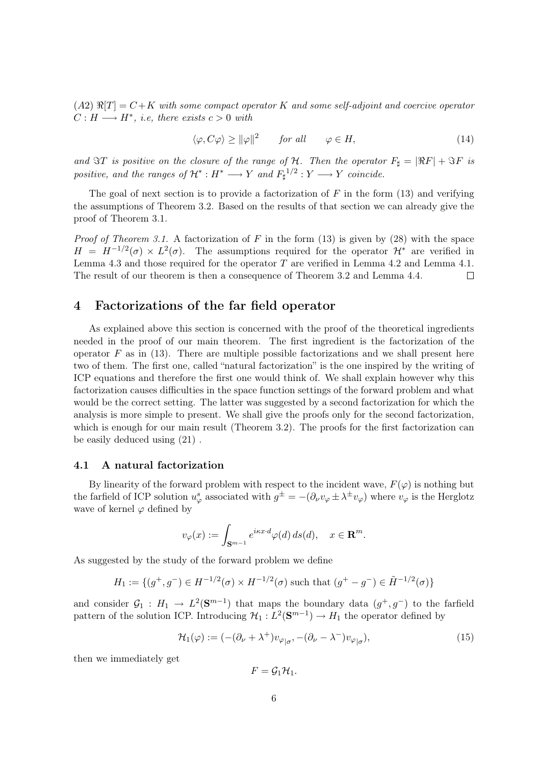(A2) ℜ[T] = C+K *with some compact operator* K *and some self-adjoint and coercive operator*  $C: H \longrightarrow H^*,$  *i.e, there exists*  $c > 0$  *with* 

$$
\langle \varphi, C\varphi \rangle \ge ||\varphi||^2 \quad \text{for all} \quad \varphi \in H,\tag{14}
$$

and  $T$  *is positive on the closure of the range of* H. Then the operator  $F_{\sharp} = |\Re F| + \Im F$  *is* positive, and the ranges of  $\mathcal{H}^* : H^* \longrightarrow Y$  and  $F_{\sharp}^{1/2} : Y \longrightarrow Y$  *coincide.* 

The goal of next section is to provide a factorization of  $F$  in the form  $(13)$  and verifying the assumptions of Theorem 3.2. Based on the results of that section we can already give the proof of Theorem 3.1.

*Proof of Theorem 3.1.* A factorization of F in the form (13) is given by (28) with the space  $H = H^{-1/2}(\sigma) \times L^2(\sigma)$ . The assumptions required for the operator  $\mathcal{H}^*$  are verified in Lemma 4.3 and those required for the operator T are verified in Lemma 4.2 and Lemma 4.1. The result of our theorem is then a consequence of Theorem 3.2 and Lemma 4.4.  $\Box$ 

### 4 Factorizations of the far field operator

As explained above this section is concerned with the proof of the theoretical ingredients needed in the proof of our main theorem. The first ingredient is the factorization of the operator  $F$  as in (13). There are multiple possible factorizations and we shall present here two of them. The first one, called "natural factorization" is the one inspired by the writing of ICP equations and therefore the first one would think of. We shall explain however why this factorization causes difficulties in the space function settings of the forward problem and what would be the correct setting. The latter was suggested by a second factorization for which the analysis is more simple to present. We shall give the proofs only for the second factorization, which is enough for our main result (Theorem 3.2). The proofs for the first factorization can be easily deduced using (21) .

#### 4.1 A natural factorization

By linearity of the forward problem with respect to the incident wave,  $F(\varphi)$  is nothing but the farfield of ICP solution  $u^s_\varphi$  associated with  $g^\pm = -(\partial_\nu v_\varphi \pm \lambda^\pm v_\varphi)$  where  $v_\varphi$  is the Herglotz wave of kernel  $\varphi$  defined by

$$
v_{\varphi}(x) := \int_{\mathbf{S}^{m-1}} e^{i\kappa x \cdot d} \varphi(d) \, ds(d), \quad x \in \mathbf{R}^m.
$$

As suggested by the study of the forward problem we define

$$
H_1 := \{ (g^+, g^-) \in H^{-1/2}(\sigma) \times H^{-1/2}(\sigma) \text{ such that } (g^+ - g^-) \in \tilde{H}^{-1/2}(\sigma) \}
$$

and consider  $\mathcal{G}_1$ :  $H_1 \to L^2(\mathbf{S}^{m-1})$  that maps the boundary data  $(g^+, g^-)$  to the farfield pattern of the solution ICP. Introducing  $\mathcal{H}_1 : L^2(\mathbf{S}^{m-1}) \to H_1$  the operator defined by

$$
\mathcal{H}_1(\varphi) := \left( -(\partial_{\nu} + \lambda^+) v_{\varphi_{|\sigma}}, -(\partial_{\nu} - \lambda^-) v_{\varphi_{|\sigma}} \right),\tag{15}
$$

then we immediately get

$$
F=\mathcal{G}_1\mathcal{H}_1.
$$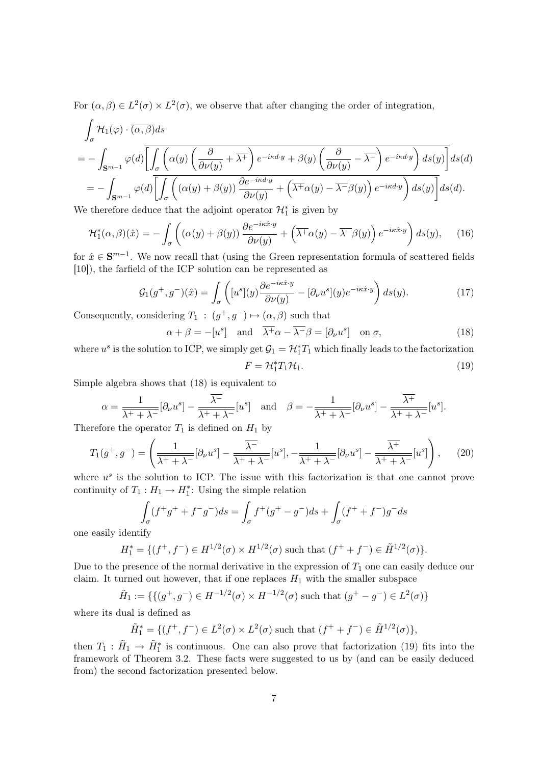For  $(\alpha, \beta) \in L^2(\sigma) \times L^2(\sigma)$ , we observe that after changing the order of integration,

$$
\int_{\sigma} \mathcal{H}_{1}(\varphi) \cdot \overline{(\alpha, \beta)} ds
$$
\n
$$
= -\int_{\mathbf{S}^{m-1}} \varphi(d) \overline{\left[ \int_{\sigma} \left( \alpha(y) \left( \frac{\partial}{\partial \nu(y)} + \overline{\lambda^{+}} \right) e^{-i\kappa dy} + \beta(y) \left( \frac{\partial}{\partial \nu(y)} - \overline{\lambda^{-}} \right) e^{-i\kappa dy} \right) ds(y) \right]} ds(d)
$$
\n
$$
= -\int_{\mathbf{S}^{m-1}} \varphi(d) \overline{\left[ \int_{\sigma} \left( (\alpha(y) + \beta(y)) \frac{\partial e^{-i\kappa dy}}{\partial \nu(y)} + \left( \overline{\lambda^{+}} \alpha(y) - \overline{\lambda^{-}} \beta(y) \right) e^{-i\kappa dy} \right) ds(y) \right]} ds(d).
$$
\nWe therefore deduce that the adjoint operator  $\mathcal{H}^{*}$  is given by

We therefore deduce that the adjoint operator  $\mathcal{H}_1^*$  is given by

$$
\mathcal{H}_1^*(\alpha,\beta)(\hat{x}) = -\int_{\sigma} \left( (\alpha(y) + \beta(y)) \frac{\partial e^{-i\kappa \hat{x} \cdot y}}{\partial \nu(y)} + \left( \overline{\lambda^+} \alpha(y) - \overline{\lambda^-} \beta(y) \right) e^{-i\kappa \hat{x} \cdot y} \right) ds(y), \quad (16)
$$

for  $\hat{x} \in \mathbf{S}^{m-1}$ . We now recall that (using the Green representation formula of scattered fields [10]), the farfield of the ICP solution can be represented as

$$
\mathcal{G}_1(g^+, g^-)(\hat{x}) = \int_{\sigma} \left( [u^s](y) \frac{\partial e^{-i\kappa \hat{x} \cdot y}}{\partial \nu(y)} - [\partial_{\nu} u^s](y) e^{-i\kappa \hat{x} \cdot y} \right) ds(y). \tag{17}
$$

Consequently, considering  $T_1$ :  $(g^+, g^-) \mapsto (\alpha, \beta)$  such that

$$
\alpha + \beta = -[u^s] \quad \text{and} \quad \overline{\lambda^+} \alpha - \overline{\lambda^-} \beta = [\partial_\nu u^s] \quad \text{on } \sigma,
$$
 (18)

where  $u^s$  is the solution to ICP, we simply get  $\mathcal{G}_1 = \mathcal{H}_1^* T_1$  which finally leads to the factorization

$$
F = \mathcal{H}_1^* T_1 \mathcal{H}_1. \tag{19}
$$

Simple algebra shows that (18) is equivalent to

$$
\alpha = \frac{1}{\overline{\lambda^+ + \lambda^-}} [\partial_\nu u^s] - \frac{\overline{\lambda^-}}{\overline{\lambda^+ + \lambda^-}} [u^s] \quad \text{and} \quad \beta = -\frac{1}{\overline{\lambda^+ + \lambda^-}} [\partial_\nu u^s] - \frac{\overline{\lambda^+}}{\overline{\lambda^+ + \lambda^-}} [u^s].
$$

Therefore the operator  $T_1$  is defined on  $H_1$  by

$$
T_1(g^+,g^-) = \left(\frac{1}{\overline{\lambda^+ + \lambda^-}}[\partial_\nu u^s] - \frac{\overline{\lambda^-}}{\overline{\lambda^+ + \lambda^-}}[u^s], -\frac{1}{\overline{\lambda^+ + \lambda^-}}[\partial_\nu u^s] - \frac{\overline{\lambda^+}}{\overline{\lambda^+ + \lambda^-}}[u^s]\right),\tag{20}
$$

where  $u^s$  is the solution to ICP. The issue with this factorization is that one cannot prove continuity of  $T_1: H_1 \to H_1^*$ : Using the simple relation

$$
\int_{\sigma} (f^+g^+ + f^-g^-)ds = \int_{\sigma} f^+(g^+ - g^-)ds + \int_{\sigma} (f^+ + f^-)g^-ds
$$

one easily identify

$$
H_1^* = \{ (f^+, f^-) \in H^{1/2}(\sigma) \times H^{1/2}(\sigma) \text{ such that } (f^+ + f^-) \in \tilde{H}^{1/2}(\sigma) \}.
$$

Due to the presence of the normal derivative in the expression of  $T_1$  one can easily deduce our claim. It turned out however, that if one replaces  $H_1$  with the smaller subspace

$$
\tilde{H}_1 := \{ \{ (g^+, g^-) \in H^{-1/2}(\sigma) \times H^{-1/2}(\sigma) \text{ such that } (g^+ - g^-) \in L^2(\sigma) \}
$$

where its dual is defined as

$$
\tilde{H}_1^* = \{ (f^+, f^-) \in L^2(\sigma) \times L^2(\sigma) \text{ such that } (f^+ + f^-) \in \tilde{H}^{1/2}(\sigma) \},
$$

then  $T_1$ :  $\tilde{H}_1 \rightarrow \tilde{H}_1^*$  is continuous. One can also prove that factorization (19) fits into the framework of Theorem 3.2. These facts were suggested to us by (and can be easily deduced from) the second factorization presented below.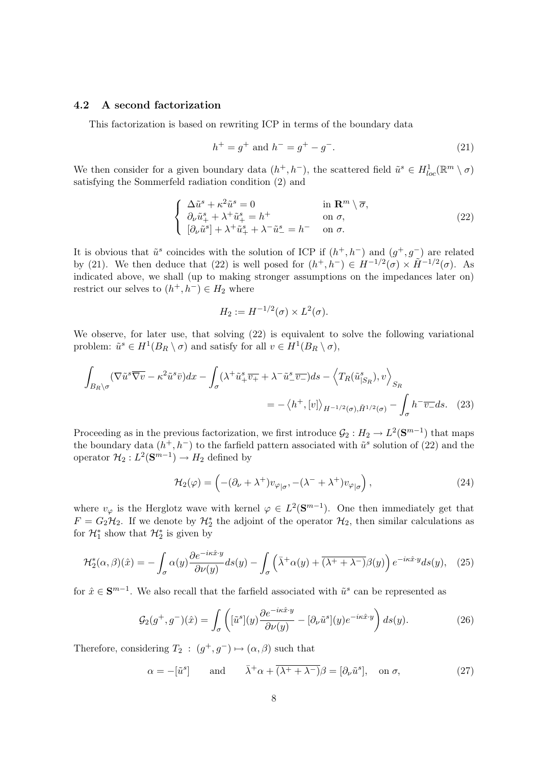#### 4.2 A second factorization

This factorization is based on rewriting ICP in terms of the boundary data

$$
h^{+} = g^{+} \text{ and } h^{-} = g^{+} - g^{-}. \tag{21}
$$

We then consider for a given boundary data  $(h^+, h^-)$ , the scattered field  $\tilde{u}^s \in H^1_{loc}(\mathbb{R}^m \setminus \sigma)$ satisfying the Sommerfeld radiation condition (2) and

$$
\begin{cases}\n\Delta \tilde{u}^{s} + \kappa^{2} \tilde{u}^{s} = 0 & \text{in } \mathbb{R}^{m} \setminus \overline{\sigma}, \\
\partial_{\nu} \tilde{u}^{s}_{+} + \lambda^{+} \tilde{u}^{s}_{+} = h^{+} & \text{on } \sigma, \\
[\partial_{\nu} \tilde{u}^{s}] + \lambda^{+} \tilde{u}^{s}_{+} + \lambda^{-} \tilde{u}^{s}_{-} = h^{-} & \text{on } \sigma.\n\end{cases}
$$
\n(22)

It is obvious that  $\tilde{u}^s$  coincides with the solution of ICP if  $(h^+, h^-)$  and  $(g^+, g^-)$  are related by (21). We then deduce that (22) is well posed for  $(h^+, h^-) \in H^{-1/2}(\sigma) \times \tilde{H}^{-1/2}(\sigma)$ . As indicated above, we shall (up to making stronger assumptions on the impedances later on) restrict our selves to  $(h^+, h^-) \in H_2$  where

$$
H_2 := H^{-1/2}(\sigma) \times L^2(\sigma).
$$

We observe, for later use, that solving  $(22)$  is equivalent to solve the following variational problem:  $\tilde{u}^s \in H^1(B_R \setminus \sigma)$  and satisfy for all  $v \in H^1(B_R \setminus \sigma)$ ,

$$
\int_{B_R\setminus\sigma} (\nabla \tilde{u}^s \overline{\nabla v} - \kappa^2 \tilde{u}^s \bar{v}) dx - \int_{\sigma} (\lambda^+ \tilde{u}^s_+ \overline{v_+} + \lambda^- \tilde{u}^s_- \overline{v_-}) ds - \left\langle T_R(\tilde{u}^s_{|S_R}), v \right\rangle_{S_R}
$$
\n
$$
= - \left\langle h^+, [v] \right\rangle_{H^{-1/2}(\sigma), \tilde{H}^{1/2}(\sigma)} - \int_{\sigma} h^- \overline{v_-} ds. \tag{23}
$$

Proceeding as in the previous factorization, we first introduce  $\mathcal{G}_2: H_2 \to L^2(\mathbf{S}^{m-1})$  that maps the boundary data  $(h^+, h^-)$  to the farfield pattern associated with  $\tilde{u}^s$  solution of (22) and the operator  $\mathcal{H}_2: L^2(\mathbf{S}^{m-1}) \to H_2$  defined by

$$
\mathcal{H}_2(\varphi) = \left( -(\partial_\nu + \lambda^+) v_{\varphi|\sigma}, -(\lambda^- + \lambda^+) v_{\varphi|\sigma} \right),\tag{24}
$$

where  $v_{\varphi}$  is the Herglotz wave with kernel  $\varphi \in L^2(\mathbf{S}^{m-1})$ . One then immediately get that  $F = G_2 \mathcal{H}_2$ . If we denote by  $\mathcal{H}_2^*$  the adjoint of the operator  $\mathcal{H}_2$ , then similar calculations as for  $\mathcal{H}_1^*$  show that  $\mathcal{H}_2^*$  is given by

$$
\mathcal{H}_2^*(\alpha,\beta)(\hat{x}) = -\int_{\sigma} \alpha(y) \frac{\partial e^{-i\kappa \hat{x} \cdot y}}{\partial \nu(y)} ds(y) - \int_{\sigma} \left( \bar{\lambda}^+ \alpha(y) + \overline{(\lambda^+ + \lambda^-)} \beta(y) \right) e^{-i\kappa \hat{x} \cdot y} ds(y), \quad (25)
$$

for  $\hat{x} \in \mathbf{S}^{m-1}$ . We also recall that the farfield associated with  $\tilde{u}^s$  can be represented as

$$
\mathcal{G}_2(g^+, g^-)(\hat{x}) = \int_{\sigma} \left( [\tilde{u}^s](y) \frac{\partial e^{-i\kappa \hat{x} \cdot y}}{\partial \nu(y)} - [\partial_{\nu} \tilde{u}^s](y) e^{-i\kappa \hat{x} \cdot y} \right) ds(y). \tag{26}
$$

Therefore, considering  $T_2$ :  $(g^+, g^-) \mapsto (\alpha, \beta)$  such that

$$
\alpha = -[\tilde{u}^s] \quad \text{and} \quad \bar{\lambda}^+ \alpha + \overline{(\lambda^+ + \lambda^-)} \beta = [\partial_\nu \tilde{u}^s], \quad \text{on } \sigma,
$$
\n(27)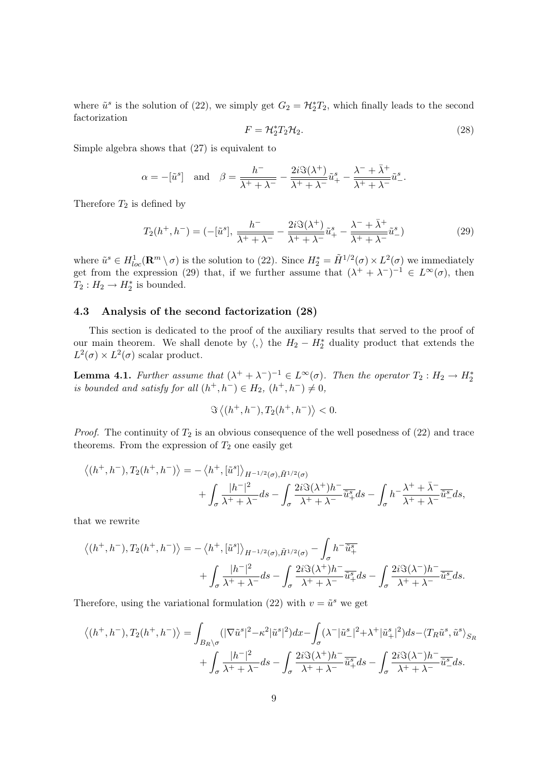where  $\tilde{u}^s$  is the solution of (22), we simply get  $G_2 = \mathcal{H}_2^* T_2$ , which finally leads to the second factorization

$$
F = \mathcal{H}_2^* T_2 \mathcal{H}_2. \tag{28}
$$

Simple algebra shows that (27) is equivalent to

$$
\alpha = -[\tilde{u}^s]
$$
 and  $\beta = \frac{h^-}{\overline{\lambda^+ + \lambda^-}} - \frac{2i \Im(\lambda^+)}{\overline{\lambda^+ + \lambda^-}} \tilde{u}^s_+ - \frac{\lambda^- + \overline{\lambda}^+}{\overline{\lambda^+ + \lambda^-}} \tilde{u}^s_-.$ 

Therefore  $T_2$  is defined by

$$
T_2(h^+, h^-) = (-[\tilde{u}^s], \frac{h^-}{\lambda^+ + \lambda^-} - \frac{2i\Im(\lambda^+)}{\lambda^+ + \lambda^-}\tilde{u}^s_+ - \frac{\lambda^- + \bar{\lambda}^+}{\lambda^+ + \lambda^-}\tilde{u}^s_-)
$$
(29)

where  $\tilde{u}^s \in H^1_{loc}(\mathbf{R}^m \setminus \sigma)$  is the solution to (22). Since  $H_2^* = \tilde{H}^{1/2}(\sigma) \times L^2(\sigma)$  we immediately get from the expression (29) that, if we further assume that  $(\lambda^+ + \lambda^-)^{-1} \in L^{\infty}(\sigma)$ , then  $T_2: H_2 \to H_2^*$  is bounded.

#### 4.3 Analysis of the second factorization (28)

This section is dedicated to the proof of the auxiliary results that served to the proof of our main theorem. We shall denote by  $\langle , \rangle$  the  $H_2 - H_2^*$  duality product that extends the  $L^2(\sigma) \times L^2(\sigma)$  scalar product.

**Lemma 4.1.** *Further assume that*  $(\lambda^+ + \lambda^-)^{-1} \in L^{\infty}(\sigma)$ *. Then the operator*  $T_2: H_2 \to H_2^*$ *is bounded and satisfy for all*  $(h^+, h^-) \in H_2$ ,  $(h^+, h^-) \neq 0$ ,

$$
\Im\left\langle (h^+,h^-),T_2(h^+,h^-)\right\rangle < 0.
$$

*Proof.* The continuity of  $T_2$  is an obvious consequence of the well posedness of  $(22)$  and trace theorems. From the expression of  $T_2$  one easily get

$$
\langle (h^+, h^-), T_2(h^+, h^-) \rangle = -\langle h^+, [\tilde{u}^s] \rangle_{H^{-1/2}(\sigma), \tilde{H}^{1/2}(\sigma)} + \int_{\sigma} \frac{|h^-|^2}{\lambda^+ + \lambda^-} ds - \int_{\sigma} \frac{2i \Im(\lambda^+) h^-}{\lambda^+ + \lambda^-} \overline{\tilde{u}}_+^s ds - \int_{\sigma} h^- \frac{\lambda^+ + \overline{\lambda}^-}{\lambda^+ + \lambda^-} \overline{\tilde{u}}_-^s ds,
$$

that we rewrite

$$
\langle (h^+, h^-), T_2(h^+, h^-) \rangle = -\langle h^+, [\tilde{u}^s] \rangle_{H^{-1/2}(\sigma), \tilde{H}^{1/2}(\sigma)} - \int_{\sigma} h^- \overline{\tilde{u}^s_+} + \int_{\sigma} \frac{|h^-|^2}{\lambda^+ + \lambda^-} ds - \int_{\sigma} \frac{2i \Im(\lambda^+) h^-}{\lambda^+ + \lambda^-} \overline{\tilde{u}^s_+} ds - \int_{\sigma} \frac{2i \Im(\lambda^-) h^-}{\lambda^+ + \lambda^-} \overline{\tilde{u}^s_-} ds.
$$

Therefore, using the variational formulation (22) with  $v = \tilde{u}^s$  we get

$$
\left\langle (h^+,h^-),T_2(h^+,h^-) \right\rangle = \int_{B_R\backslash \sigma} (|\nabla \tilde{u}^s|^2 - \kappa^2 |\tilde{u}^s|^2) dx - \int_{\sigma} (\lambda^- |\tilde{u}^s_-|^2 + \lambda^+ |\tilde{u}^s_+|^2) ds - \langle T_R \tilde{u}^s, \tilde{u}^s \rangle_{S_R} + \int_{\sigma} \frac{|h^-|^2}{\lambda^+ + \lambda^-} ds - \int_{\sigma} \frac{2i \Im(\lambda^+) h^-}{\lambda^+ + \lambda^-} \overline{\tilde{u}^s_+} ds - \int_{\sigma} \frac{2i \Im(\lambda^-) h^-}{\lambda^+ + \lambda^-} \overline{\tilde{u}^s_-} ds.
$$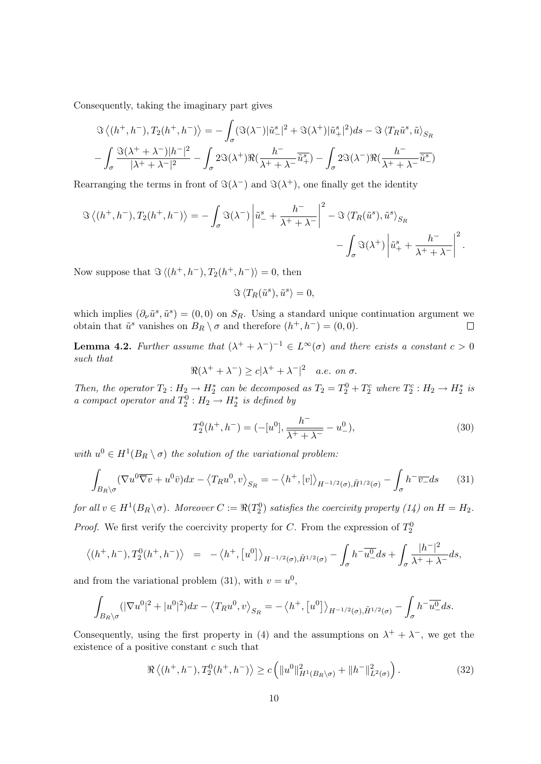Consequently, taking the imaginary part gives

$$
\Im\left\langle (h^+,h^-),T_2(h^+,h^-)\right\rangle = -\int_{\sigma} (\Im(\lambda^-)|\tilde{u}^s_-|^2 + \Im(\lambda^+)|\tilde{u}^s_+|^2)ds - \Im\left\langle T_R\tilde{u}^s,\tilde{u}\right\rangle_{S_R} -\int_{\sigma} \frac{\Im(\lambda^+ + \lambda^-)|h^-|^2}{|\lambda^+ + \lambda^-|^2} - \int_{\sigma} 2\Im(\lambda^+)\Re(\frac{h^-}{\lambda^+ + \lambda^-}\overline{\tilde{u}^s_+}) - \int_{\sigma} 2\Im(\lambda^-)\Re(\frac{h^-}{\lambda^+ + \lambda^-}\overline{\tilde{u}^s_-})
$$

Rearranging the terms in front of  $\Im(\lambda^-)$  and  $\Im(\lambda^+)$ , one finally get the identity

$$
\Im\langle(h^+,h^-),T_2(h^+,h^-)\rangle = -\int_{\sigma} \Im(\lambda^-) \left|\tilde{u}^s_- + \frac{h^-}{\lambda^+ + \lambda^-}\right|^2 - \Im\langle T_R(\tilde{u}^s),\tilde{u}^s\rangle_{S_R} - \int_{\sigma} \Im(\lambda^+) \left|\tilde{u}^s_+ + \frac{h^-}{\lambda^+ + \lambda^-}\right|^2.
$$

Now suppose that  $\Im\langle (h^+, h^-), T_2(h^+, h^-) \rangle = 0$ , then

$$
\Im\left\langle T_R(\tilde{u}^s),\tilde{u}^s\right\rangle=0,
$$

which implies  $(\partial_{\nu}\tilde{u}^s, \tilde{u}^s) = (0,0)$  on  $S_R$ . Using a standard unique continuation argument we obtain that  $\tilde{u}^s$  vanishes on  $B_R \setminus \sigma$  and therefore  $(h^+, h^-) = (0, 0)$ .  $\Box$ 

**Lemma 4.2.** *Further assume that*  $(\lambda^+ + \lambda^-)^{-1} \in L^\infty(\sigma)$  *and there exists a constant*  $c > 0$ *such that*

$$
\Re(\lambda^+ + \lambda^-) \ge c|\lambda^+ + \lambda^-|^2 \quad a.e. \text{ on } \sigma.
$$

*Then, the operator*  $T_2: H_2 \to H_2^*$  *can be decomposed as*  $T_2 = T_2^0 + T_2^c$  *where*  $T_2^c: H_2 \to H_2^*$  *is a compact operator and*  $T_2^0$  :  $H_2 \rightarrow H_2^*$  *is defined by* 

$$
T_2^0(h^+, h^-) = (-[u^0], \frac{h^-}{\lambda^+ + \lambda^-} - u^0_-), \tag{30}
$$

*with*  $u^0 \in H^1(B_R \setminus \sigma)$  *the solution of the variational problem:* 

$$
\int_{B_R \backslash \sigma} (\nabla u^0 \overline{\nabla v} + u^0 \overline{v}) dx - \langle T_R u^0, v \rangle_{S_R} = -\langle h^+, [v] \rangle_{H^{-1/2}(\sigma), \tilde{H}^{1/2}(\sigma)} - \int_{\sigma} h^- \overline{v_-} ds \qquad (31)
$$

 $for\ all\ v\in H^1(B_R\setminus \sigma).$  Moreover  $C:=\Re(T_2^0)$  satisfies the coercivity property (14) on  $H=H_2.$ *Proof.* We first verify the coercivity property for C. From the expression of  $T_2^0$ 

$$
\langle (h^+,h^-),T_2^0(h^+,h^-)\rangle = -\langle h^+, [u^0]\rangle_{H^{-1/2}(\sigma),\tilde{H}^{1/2}(\sigma)} - \int_{\sigma} h^- \overline{u^0_-} ds + \int_{\sigma} \frac{|h^-|^2}{\lambda^+ + \lambda^-} ds,
$$

and from the variational problem (31), with  $v = u^0$ ,

$$
\int_{B_R\setminus\sigma}(|\nabla u^0|^2+|u^0|^2)dx-\left\langle T_Ru^0,v\right\rangle_{S_R}=-\left\langle h^+,[u^0]\right\rangle_{H^{-1/2}(\sigma),\tilde{H}^{1/2}(\sigma)}-\int_{\sigma}h^{-}\overline{u^0_-}ds.
$$

Consequently, using the first property in (4) and the assumptions on  $\lambda^+ + \lambda^-$ , we get the existence of a positive constant  $c$  such that

$$
\Re\left\langle (h^+, h^-), T_2^0(h^+, h^-) \right\rangle \ge c \left( \|u^0\|_{H^1(B_R \setminus \sigma)}^2 + \|h^-\|_{L^2(\sigma)}^2 \right). \tag{32}
$$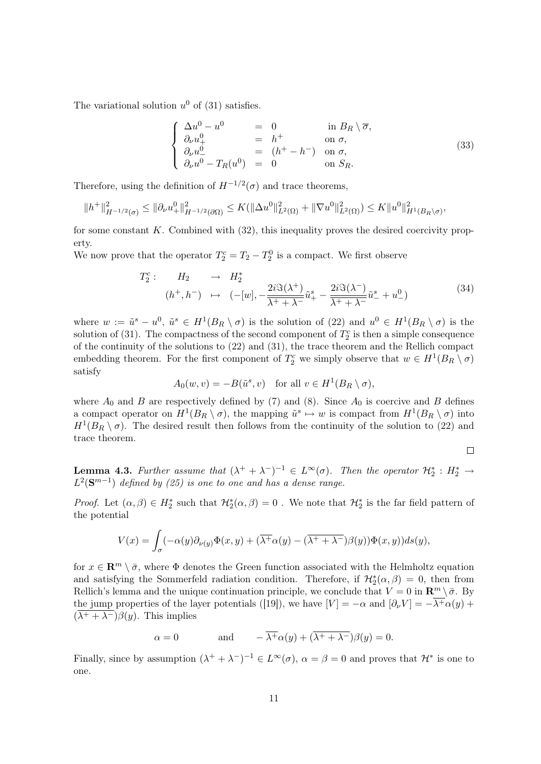The variational solution  $u^0$  of (31) satisfies.

$$
\begin{cases}\n\Delta u^{0} - u^{0} &= 0 & \text{in } B_{R} \setminus \overline{\sigma}, \\
\partial_{\nu} u_{+}^{0} &= h^{+} & \text{on } \sigma, \\
\partial_{\nu} u_{-}^{0} &= (h^{+} - h^{-}) & \text{on } \sigma, \\
\partial_{\nu} u^{0} - T_{R}(u^{0}) &= 0 & \text{on } S_{R}.\n\end{cases}
$$
\n(33)

Therefore, using the definition of  $H^{-1/2}(\sigma)$  and trace theorems,

$$
||h^+||^2_{H^{-1/2}(\sigma)} \le ||\partial_{\nu}u^0_+||^2_{H^{-1/2}(\partial\Omega)} \le K(||\Delta u^0||^2_{L^2(\Omega)} + ||\nabla u^0||^2_{L^2(\Omega)}) \le K||u^0||^2_{H^1(B_R \setminus \sigma)},
$$

for some constant K. Combined with (32), this inequality proves the desired coercivity property.

We now prove that the operator  $T_2^c = T_2 - T_2^0$  is a compact. We first observe

$$
T_2^c: \tH_2 \t\t \to \tH_2^* \t\t (h^+, h^-) \t \to \t (-[w], -\frac{2i\Im(\lambda^+)}{\lambda^+ + \lambda^-} \tilde{u}_+^s - \frac{2i\Im(\lambda^-)}{\lambda^+ + \lambda^-} \tilde{u}_-^s + u_-^0)
$$
\t(34)

where  $w := \tilde{u}^s - u^0$ ,  $\tilde{u}^s \in H^1(B_R \setminus \sigma)$  is the solution of (22) and  $u^0 \in H^1(B_R \setminus \sigma)$  is the solution of (31). The compactness of the second component of  $T_2^c$  is then a simple consequence of the continuity of the solutions to (22) and (31), the trace theorem and the Rellich compact embedding theorem. For the first component of  $T_2^c$  we simply observe that  $w \in H^1(B_R \setminus \sigma)$ satisfy

$$
A_0(w, v) = -B(\tilde{u}^s, v) \text{ for all } v \in H^1(B_R \setminus \sigma),
$$

where  $A_0$  and B are respectively defined by (7) and (8). Since  $A_0$  is coercive and B defines a compact operator on  $H^1(B_R \setminus \sigma)$ , the mapping  $\tilde{u}^s \mapsto w$  is compact from  $H^1(B_R \setminus \sigma)$  into  $H^1(B_R \setminus \sigma)$ . The desired result then follows from the continuity of the solution to (22) and trace theorem.

$$
\qquad \qquad \Box
$$

**Lemma 4.3.** *Further assume that*  $(\lambda^+ + \lambda^-)^{-1} \in L^{\infty}(\sigma)$ *. Then the operator*  $\mathcal{H}_2^*$  :  $H_2^* \to$  $L^2(\mathbf{S}^{m-1})$  *defined by (25) is one to one and has a dense range.* 

*Proof.* Let  $(\alpha, \beta) \in H_2^*$  such that  $\mathcal{H}_2^*(\alpha, \beta) = 0$ . We note that  $\mathcal{H}_2^*$  is the far field pattern of the potential

$$
V(x) = \int_{\sigma} (-\alpha(y)\partial_{\nu(y)}\Phi(x,y) + (\overline{\lambda^+}\alpha(y) - (\overline{\lambda^+ + \lambda^-})\beta(y))\Phi(x,y))ds(y),
$$

for  $x \in \mathbb{R}^m \setminus \overline{\sigma}$ , where  $\Phi$  denotes the Green function associated with the Helmholtz equation and satisfying the Sommerfeld radiation condition. Therefore, if  $\mathcal{H}_2^*(\alpha,\beta) = 0$ , then from Rellich's lemma and the unique continuation principle, we conclude that  $V = 0$  in  $\mathbb{R}^m \setminus \overline{\sigma}$ . By the jump properties of the layer potentials ([19]), we have  $[V] = -\alpha$  and  $[\partial_\nu V] = -\overline{\lambda^+} \alpha(y) +$  $(\overline{\lambda^+ + \lambda^-}) \beta(y)$ . This implies

$$
\alpha = 0
$$
 and  $-\overline{\lambda^+} \alpha(y) + (\overline{\lambda^+ + \lambda^-}) \beta(y) = 0.$ 

Finally, since by assumption  $(\lambda^+ + \lambda^-)^{-1} \in L^{\infty}(\sigma)$ ,  $\alpha = \beta = 0$  and proves that  $\mathcal{H}^*$  is one to one.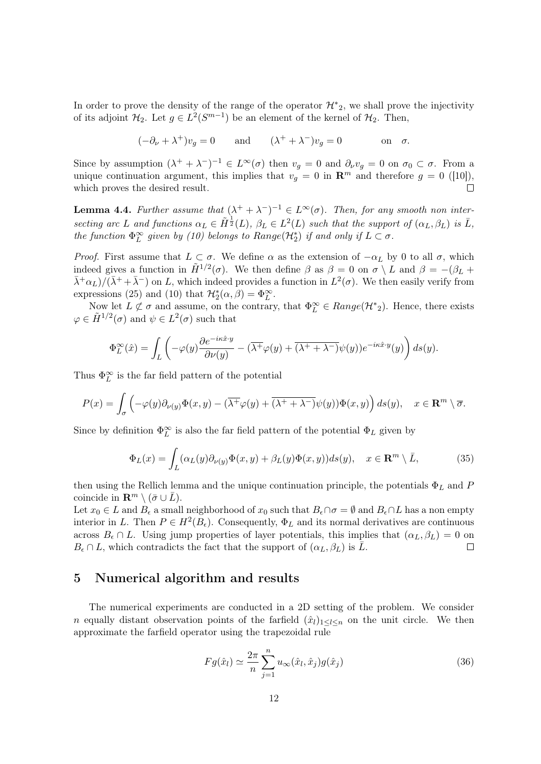In order to prove the density of the range of the operator  $\mathcal{H}^*_{2}$ , we shall prove the injectivity of its adjoint  $\mathcal{H}_2$ . Let  $g \in L^2(S^{m-1})$  be an element of the kernel of  $\mathcal{H}_2$ . Then,

$$
(-\partial_{\nu} + \lambda^{+})v_{g} = 0 \quad \text{and} \quad (\lambda^{+} + \lambda^{-})v_{g} = 0 \quad \text{on} \quad \sigma.
$$

Since by assumption  $(\lambda^+ + \lambda^-)^{-1} \in L^{\infty}(\sigma)$  then  $v_g = 0$  and  $\partial_{\nu}v_g = 0$  on  $\sigma_0 \subset \sigma$ . From a unique continuation argument, this implies that  $v_q = 0$  in  $\mathbb{R}^m$  and therefore  $g = 0$  ([10]),  $\Box$ which proves the desired result.

**Lemma 4.4.** *Further assume that*  $(\lambda^+ + \lambda^-)^{-1} \in L^{\infty}(\sigma)$ . *Then, for any smooth non inter*secting arc L and functions  $\alpha_L \in \tilde{H}^{\frac{1}{2}}(L)$ ,  $\beta_L \in L^2(L)$  such that the support of  $(\alpha_L, \beta_L)$  is  $\overline{L}$ , *the function*  $\Phi_L^{\infty}$  given by (10) belongs to  $Range(\mathcal{H}_2^*)$  if and only if  $L \subset \sigma$ .

*Proof.* First assume that  $L \subset \sigma$ . We define  $\alpha$  as the extension of  $-\alpha_L$  by 0 to all  $\sigma$ , which indeed gives a function in  $\tilde{H}^{1/2}(\sigma)$ . We then define  $\beta$  as  $\beta = 0$  on  $\sigma \setminus L$  and  $\beta = -(\beta_L +$  $(\bar{\lambda}^+\alpha_L)/(\bar{\lambda}^++\bar{\lambda}^-)$  on L, which indeed provides a function in  $L^2(\sigma)$ . We then easily verify from expressions (25) and (10) that  $\mathcal{H}_2^*(\alpha,\beta) = \Phi_L^{\infty}$ .

Now let  $L \not\subset \sigma$  and assume, on the contrary, that  $\Phi_L^{\infty} \in Range(\mathcal{H}^*_{2})$ . Hence, there exists  $\varphi \in \tilde{H}^{1/2}(\sigma)$  and  $\psi \in L^2(\sigma)$  such that

$$
\Phi_L^{\infty}(\hat{x}) = \int_L \left( -\varphi(y) \frac{\partial e^{-i\kappa \hat{x} \cdot y}}{\partial \nu(y)} - \left( \overline{\lambda^+} \varphi(y) + \overline{(\lambda^+ + \lambda^-)} \psi(y) \right) e^{-i\kappa \hat{x} \cdot y}(y) \right) ds(y).
$$

Thus  $\Phi_L^{\infty}$  is the far field pattern of the potential

$$
P(x) = \int_{\sigma} \left( -\varphi(y) \partial_{\nu(y)} \Phi(x, y) - (\overline{\lambda^+} \varphi(y) + \overline{(\lambda^+ + \lambda^-)} \psi(y)) \Phi(x, y) \right) ds(y), \quad x \in \mathbf{R}^m \setminus \overline{\sigma}.
$$

Since by definition  $\Phi_L^{\infty}$  is also the far field pattern of the potential  $\Phi_L$  given by

$$
\Phi_L(x) = \int_L (\alpha_L(y)\partial_{\nu(y)}\Phi(x,y) + \beta_L(y)\Phi(x,y))ds(y), \quad x \in \mathbf{R}^m \setminus \bar{L},\tag{35}
$$

then using the Rellich lemma and the unique continuation principle, the potentials  $\Phi_L$  and P coincide in  $\mathbf{R}^m \setminus (\bar{\sigma} \cup \bar{L}).$ 

Let  $x_0 \in L$  and  $B_\epsilon$  a small neighborhood of  $x_0$  such that  $B_\epsilon \cap \sigma = \emptyset$  and  $B_\epsilon \cap L$  has a non empty interior in L. Then  $P \in H^2(B_\epsilon)$ . Consequently,  $\Phi_L$  and its normal derivatives are continuous across  $B_{\epsilon} \cap L$ . Using jump properties of layer potentials, this implies that  $(\alpha_L, \beta_L) = 0$  on  $B_{\epsilon} \cap L$ , which contradicts the fact that the support of  $(\alpha_L, \beta_L)$  is L.  $\Box$ 

#### 5 Numerical algorithm and results

The numerical experiments are conducted in a 2D setting of the problem. We consider n equally distant observation points of the farfield  $(\hat{x}_l)_{1\leq l\leq n}$  on the unit circle. We then approximate the farfield operator using the trapezoidal rule

$$
Fg(\hat{x}_l) \simeq \frac{2\pi}{n} \sum_{j=1}^n u_{\infty}(\hat{x}_l, \hat{x}_j) g(\hat{x}_j)
$$
\n(36)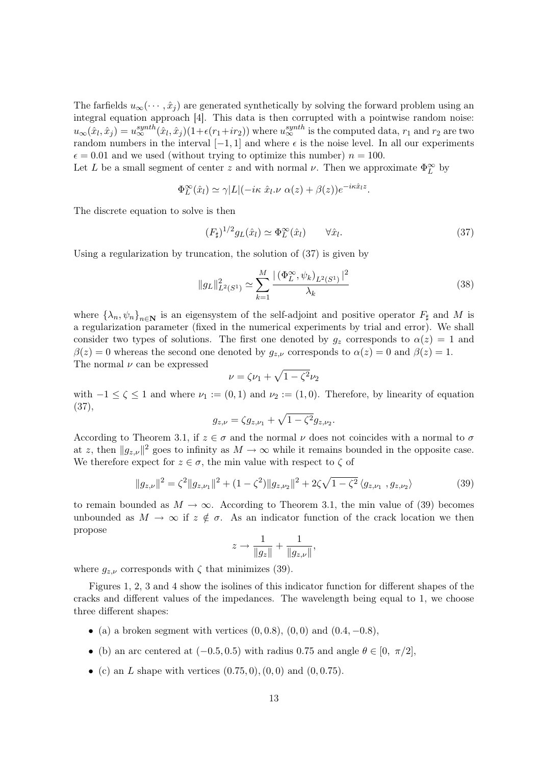The farfields  $u_{\infty}(\cdots,\hat{x}_i)$  are generated synthetically by solving the forward problem using an integral equation approach [4]. This data is then corrupted with a pointwise random noise:  $u_{\infty}(\hat{x}_l, \hat{x}_j) = u_{\infty}^{synth}(\hat{x}_l, \hat{x}_j)(1 + \epsilon(r_1 + ir_2))$  where  $u_{\infty}^{synth}$  is the computed data,  $r_1$  and  $r_2$  are two random numbers in the interval  $[-1, 1]$  and where  $\epsilon$  is the noise level. In all our experiments  $\epsilon = 0.01$  and we used (without trying to optimize this number)  $n = 100$ .

Let L be a small segment of center z and with normal  $\nu$ . Then we approximate  $\Phi_L^{\infty}$  by

$$
\Phi_L^{\infty}(\hat{x}_l) \simeq \gamma |L|(-i\kappa \hat{x}_l \nu \alpha(z) + \beta(z))e^{-i\kappa \hat{x}_l z}.
$$

The discrete equation to solve is then

$$
(F_{\sharp})^{1/2} g_L(\hat{x}_l) \simeq \Phi_L^{\infty}(\hat{x}_l) \qquad \forall \hat{x}_l. \tag{37}
$$

Using a regularization by truncation, the solution of (37) is given by

$$
||g_L||_{L^2(S^1)}^2 \simeq \sum_{k=1}^M \frac{|\left(\Phi_L^{\infty}, \psi_k\right)_{L^2(S^1)}|^2}{\lambda_k}
$$
\n(38)

where  $\{\lambda_n, \psi_n\}_{n\in\mathbb{N}}$  is an eigensystem of the self-adjoint and positive operator  $F_{\sharp}$  and M is a regularization parameter (fixed in the numerical experiments by trial and error). We shall consider two types of solutions. The first one denoted by  $g_z$  corresponds to  $\alpha(z) = 1$  and  $\beta(z) = 0$  whereas the second one denoted by  $g_{z,\nu}$  corresponds to  $\alpha(z) = 0$  and  $\beta(z) = 1$ . The normal  $\nu$  can be expressed

$$
\nu = \zeta \nu_1 + \sqrt{1 - \zeta^2} \nu_2
$$

with  $-1 \le \zeta \le 1$  and where  $\nu_1 := (0,1)$  and  $\nu_2 := (1,0)$ . Therefore, by linearity of equation (37),

$$
g_{z,\nu} = \zeta g_{z,\nu_1} + \sqrt{1 - \zeta^2} g_{z,\nu_2}.
$$

According to Theorem 3.1, if  $z \in \sigma$  and the normal  $\nu$  does not coincides with a normal to  $\sigma$ at z, then  $||g_{z,\nu}||^2$  goes to infinity as  $M \to \infty$  while it remains bounded in the opposite case. We therefore expect for  $z \in \sigma$ , the min value with respect to  $\zeta$  of

$$
||g_{z,\nu}||^2 = \zeta^2 ||g_{z,\nu_1}||^2 + (1 - \zeta^2) ||g_{z,\nu_2}||^2 + 2\zeta\sqrt{1 - \zeta^2} \langle g_{z,\nu_1}, g_{z,\nu_2} \rangle
$$
 (39)

to remain bounded as  $M \to \infty$ . According to Theorem 3.1, the min value of (39) becomes unbounded as  $M \to \infty$  if  $z \notin \sigma$ . As an indicator function of the crack location we then propose

$$
z\rightarrow \frac{1}{\|g_z\|}+\frac{1}{\|g_{z,\nu}\|},
$$

where  $g_{z,\nu}$  corresponds with  $\zeta$  that minimizes (39).

Figures 1, 2, 3 and 4 show the isolines of this indicator function for different shapes of the cracks and different values of the impedances. The wavelength being equal to 1, we choose three different shapes:

- (a) a broken segment with vertices  $(0, 0.8)$ ,  $(0, 0)$  and  $(0.4, -0.8)$ ,
- (b) an arc centered at  $(-0.5, 0.5)$  with radius 0.75 and angle  $\theta \in [0, \pi/2]$ ,
- (c) an L shape with vertices  $(0.75, 0), (0, 0)$  and  $(0, 0.75)$ .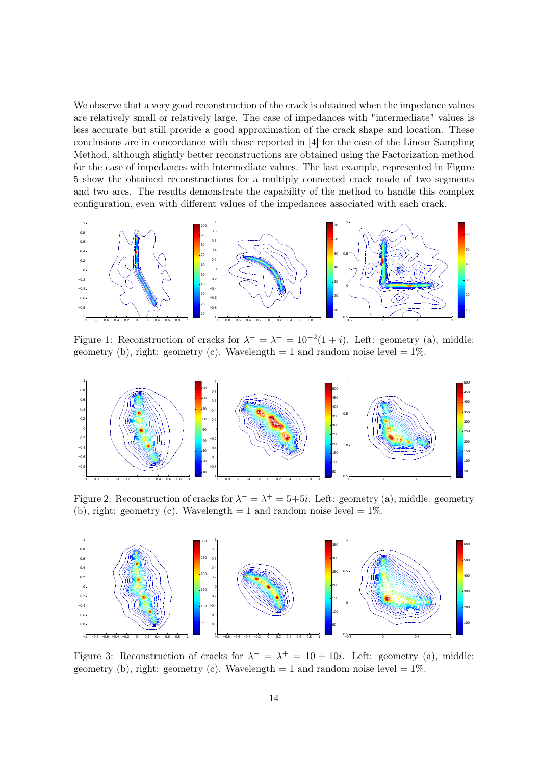We observe that a very good reconstruction of the crack is obtained when the impedance values are relatively small or relatively large. The case of impedances with "intermediate" values is less accurate but still provide a good approximation of the crack shape and location. These conclusions are in concordance with those reported in [4] for the case of the Linear Sampling Method, although slightly better reconstructions are obtained using the Factorization method for the case of impedances with intermediate values. The last example, represented in Figure 5 show the obtained reconstructions for a multiply connected crack made of two segments and two arcs. The results demonstrate the capability of the method to handle this complex configuration, even with different values of the impedances associated with each crack.



Figure 1: Reconstruction of cracks for  $\lambda^- = \lambda^+ = 10^{-2}(1+i)$ . Left: geometry (a), middle: geometry (b), right: geometry (c). Wavelength  $= 1$  and random noise level  $= 1\%$ .



Figure 2: Reconstruction of cracks for  $\lambda^- = \lambda^+ = 5+5i$ . Left: geometry (a), middle: geometry (b), right: geometry (c). Wavelength  $= 1$  and random noise level  $= 1\%$ .



Figure 3: Reconstruction of cracks for  $\lambda^- = \lambda^+ = 10 + 10i$ . Left: geometry (a), middle: geometry (b), right: geometry (c). Wavelength  $= 1$  and random noise level  $= 1\%$ .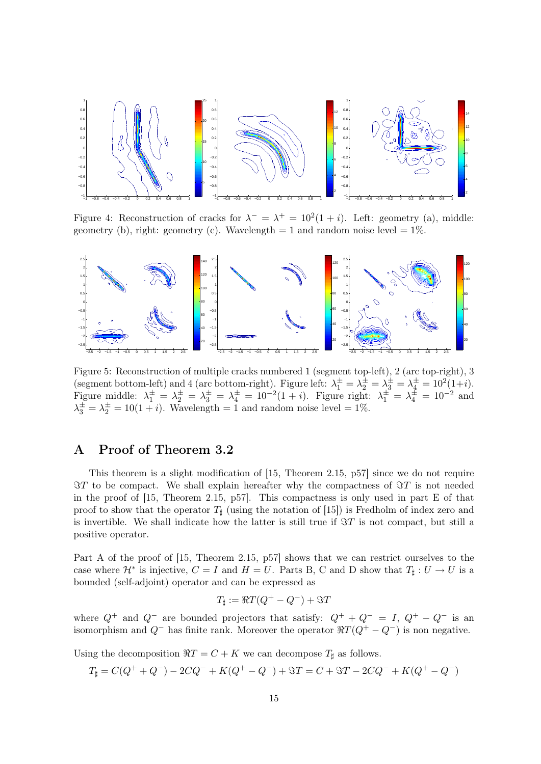

Figure 4: Reconstruction of cracks for  $\lambda^- = \lambda^+ = 10^2(1+i)$ . Left: geometry (a), middle: geometry (b), right: geometry (c). Wavelength  $= 1$  and random noise level  $= 1\%$ .



Figure 5: Reconstruction of multiple cracks numbered 1 (segment top-left), 2 (arc top-right), 3 (segment bottom-left) and 4 (arc bottom-right). Figure left:  $\lambda_1^{\pm} = \lambda_2^{\pm} = \lambda_3^{\pm} = \lambda_4^{\pm} = 10^2(1+i)$ . Figure middle:  $\lambda_1^{\pm} = \lambda_2^{\pm} = \lambda_3^{\pm} = \lambda_4^{\pm} = 10^{-2}(1+i)$ . Figure right:  $\lambda_1^{\pm} = \lambda_4^{\pm} = 10^{-2}$  and  $\lambda_3^{\pm} = \lambda_2^{\pm} = 10(1+i)$ . Wavelength = 1 and random noise level = 1%.

### A Proof of Theorem 3.2

This theorem is a slight modification of [15, Theorem 2.15, p57] since we do not require  $\Im T$  to be compact. We shall explain hereafter why the compactness of  $\Im T$  is not needed in the proof of [15, Theorem 2.15, p57]. This compactness is only used in part E of that proof to show that the operator  $T_{\sharp}$  (using the notation of [15]) is Fredholm of index zero and is invertible. We shall indicate how the latter is still true if  $\Im T$  is not compact, but still a positive operator.

Part A of the proof of [15, Theorem 2.15, p57] shows that we can restrict ourselves to the case where  $\mathcal{H}^*$  is injective,  $C = I$  and  $H = U$ . Parts B, C and D show that  $T_{\sharp}: U \to U$  is a bounded (self-adjoint) operator and can be expressed as

$$
T_{\sharp} := \Re T(Q^+ - Q^-) + \Im T
$$

where  $Q^+$  and  $Q^-$  are bounded projectors that satisfy:  $Q^+ + Q^- = I$ ,  $Q^+ - Q^-$  is an isomorphism and  $Q^-$  has finite rank. Moreover the operator  $\Re T(Q^+ - Q^-)$  is non negative.

Using the decomposition  $\Re T = C + K$  we can decompose  $T_{\sharp}$  as follows.

$$
T_{\sharp} = C(Q^{+} + Q^{-}) - 2CQ^{-} + K(Q^{+} - Q^{-}) + \Im T = C + \Im T - 2CQ^{-} + K(Q^{+} - Q^{-})
$$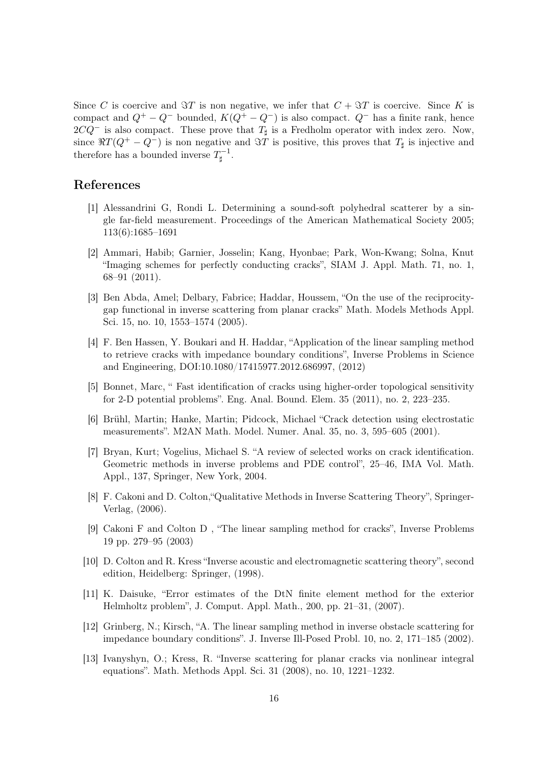Since C is coercive and  $\Im T$  is non negative, we infer that  $C + \Im T$  is coercive. Since K is compact and  $Q^+ - Q^-$  bounded,  $K(Q^+ - Q^-)$  is also compact.  $Q^-$  has a finite rank, hence  $2CQ^{-}$  is also compact. These prove that  $T_{\sharp}$  is a Fredholm operator with index zero. Now, since  $\Re T(Q^+ - Q^-)$  is non negative and  $\Im T$  is positive, this proves that  $T_{\sharp}$  is injective and therefore has a bounded inverse  $T_{\sharp}^{-1}$ .

### References

- [1] Alessandrini G, Rondi L. Determining a sound-soft polyhedral scatterer by a single far-field measurement. Proceedings of the American Mathematical Society 2005; 113(6):1685–1691
- [2] Ammari, Habib; Garnier, Josselin; Kang, Hyonbae; Park, Won-Kwang; Solna, Knut "Imaging schemes for perfectly conducting cracks", SIAM J. Appl. Math. 71, no. 1, 68–91 (2011).
- [3] Ben Abda, Amel; Delbary, Fabrice; Haddar, Houssem, "On the use of the reciprocitygap functional in inverse scattering from planar cracks" Math. Models Methods Appl. Sci. 15, no. 10, 1553–1574 (2005).
- [4] F. Ben Hassen, Y. Boukari and H. Haddar, "Application of the linear sampling method to retrieve cracks with impedance boundary conditions", Inverse Problems in Science and Engineering, DOI:10.1080/17415977.2012.686997, (2012)
- [5] Bonnet, Marc, " Fast identification of cracks using higher-order topological sensitivity for 2-D potential problems". Eng. Anal. Bound. Elem. 35 (2011), no. 2, 223–235.
- [6] Brühl, Martin; Hanke, Martin; Pidcock, Michael "Crack detection using electrostatic measurements". M2AN Math. Model. Numer. Anal. 35, no. 3, 595–605 (2001).
- [7] Bryan, Kurt; Vogelius, Michael S. "A review of selected works on crack identification. Geometric methods in inverse problems and PDE control", 25–46, IMA Vol. Math. Appl., 137, Springer, New York, 2004.
- [8] F. Cakoni and D. Colton,"Qualitative Methods in Inverse Scattering Theory", Springer-Verlag, (2006).
- [9] Cakoni F and Colton D , "The linear sampling method for cracks", Inverse Problems 19 pp. 279–95 (2003)
- [10] D. Colton and R. Kress "Inverse acoustic and electromagnetic scattering theory", second edition, Heidelberg: Springer, (1998).
- [11] K. Daisuke, "Error estimates of the DtN finite element method for the exterior Helmholtz problem", J. Comput. Appl. Math., 200, pp. 21–31, (2007).
- [12] Grinberg, N.; Kirsch, "A. The linear sampling method in inverse obstacle scattering for impedance boundary conditions". J. Inverse Ill-Posed Probl. 10, no. 2, 171–185 (2002).
- [13] Ivanyshyn, O.; Kress, R. "Inverse scattering for planar cracks via nonlinear integral equations". Math. Methods Appl. Sci. 31 (2008), no. 10, 1221–1232.